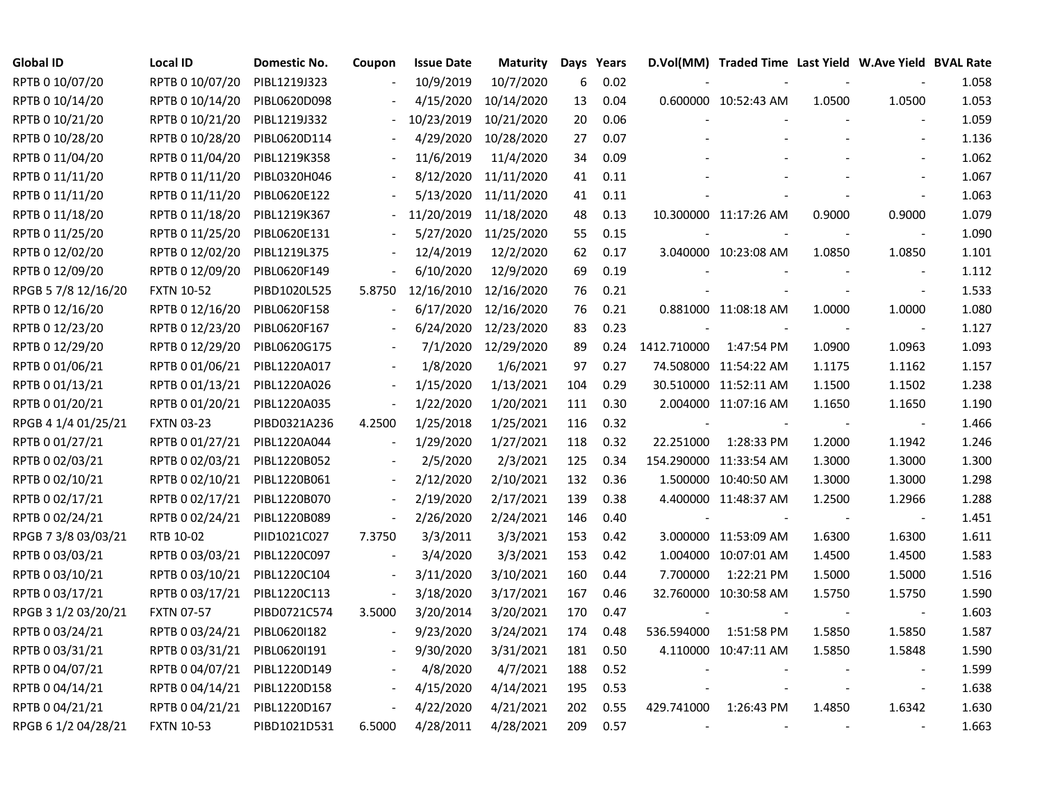| <b>Global ID</b>    | Local ID          | Domestic No. | Coupon                   | <b>Issue Date</b> | Maturity             |     | Days Years |             | D.Vol(MM) Traded Time Last Yield W.Ave Yield BVAL Rate |        |                          |       |
|---------------------|-------------------|--------------|--------------------------|-------------------|----------------------|-----|------------|-------------|--------------------------------------------------------|--------|--------------------------|-------|
| RPTB 0 10/07/20     | RPTB 0 10/07/20   | PIBL1219J323 |                          | 10/9/2019         | 10/7/2020            | 6   | 0.02       |             |                                                        |        |                          | 1.058 |
| RPTB 0 10/14/20     | RPTB 0 10/14/20   | PIBL0620D098 |                          | 4/15/2020         | 10/14/2020           | 13  | 0.04       |             | 0.600000 10:52:43 AM                                   | 1.0500 | 1.0500                   | 1.053 |
| RPTB 0 10/21/20     | RPTB 0 10/21/20   | PIBL1219J332 |                          | 10/23/2019        | 10/21/2020           | 20  | 0.06       |             |                                                        |        |                          | 1.059 |
| RPTB 0 10/28/20     | RPTB 0 10/28/20   | PIBL0620D114 |                          | 4/29/2020         | 10/28/2020           | 27  | 0.07       |             |                                                        |        |                          | 1.136 |
| RPTB 0 11/04/20     | RPTB 0 11/04/20   | PIBL1219K358 |                          | 11/6/2019         | 11/4/2020            | 34  | 0.09       |             |                                                        |        |                          | 1.062 |
| RPTB 0 11/11/20     | RPTB 0 11/11/20   | PIBL0320H046 |                          |                   | 8/12/2020 11/11/2020 | 41  | 0.11       |             |                                                        |        |                          | 1.067 |
| RPTB 0 11/11/20     | RPTB 0 11/11/20   | PIBL0620E122 |                          |                   | 5/13/2020 11/11/2020 | 41  | 0.11       |             |                                                        |        |                          | 1.063 |
| RPTB 0 11/18/20     | RPTB 0 11/18/20   | PIBL1219K367 |                          | 11/20/2019        | 11/18/2020           | 48  | 0.13       |             | 10.300000 11:17:26 AM                                  | 0.9000 | 0.9000                   | 1.079 |
| RPTB 0 11/25/20     | RPTB 0 11/25/20   | PIBL0620E131 |                          | 5/27/2020         | 11/25/2020           | 55  | 0.15       |             |                                                        |        |                          | 1.090 |
| RPTB 0 12/02/20     | RPTB 0 12/02/20   | PIBL1219L375 |                          | 12/4/2019         | 12/2/2020            | 62  | 0.17       |             | 3.040000 10:23:08 AM                                   | 1.0850 | 1.0850                   | 1.101 |
| RPTB 0 12/09/20     | RPTB 0 12/09/20   | PIBL0620F149 |                          | 6/10/2020         | 12/9/2020            | 69  | 0.19       |             |                                                        |        |                          | 1.112 |
| RPGB 5 7/8 12/16/20 | <b>FXTN 10-52</b> | PIBD1020L525 | 5.8750                   | 12/16/2010        | 12/16/2020           | 76  | 0.21       |             |                                                        |        | $\blacksquare$           | 1.533 |
| RPTB 0 12/16/20     | RPTB 0 12/16/20   | PIBL0620F158 |                          | 6/17/2020         | 12/16/2020           | 76  | 0.21       |             | 0.881000 11:08:18 AM                                   | 1.0000 | 1.0000                   | 1.080 |
| RPTB 0 12/23/20     | RPTB 0 12/23/20   | PIBL0620F167 |                          | 6/24/2020         | 12/23/2020           | 83  | 0.23       |             |                                                        |        | $\blacksquare$           | 1.127 |
| RPTB 0 12/29/20     | RPTB 0 12/29/20   | PIBL0620G175 |                          | 7/1/2020          | 12/29/2020           | 89  | 0.24       | 1412.710000 | 1:47:54 PM                                             | 1.0900 | 1.0963                   | 1.093 |
| RPTB 0 01/06/21     | RPTB 0 01/06/21   | PIBL1220A017 |                          | 1/8/2020          | 1/6/2021             | 97  | 0.27       |             | 74.508000 11:54:22 AM                                  | 1.1175 | 1.1162                   | 1.157 |
| RPTB 0 01/13/21     | RPTB 0 01/13/21   | PIBL1220A026 |                          | 1/15/2020         | 1/13/2021            | 104 | 0.29       |             | 30.510000 11:52:11 AM                                  | 1.1500 | 1.1502                   | 1.238 |
| RPTB 0 01/20/21     | RPTB 0 01/20/21   | PIBL1220A035 | $\blacksquare$           | 1/22/2020         | 1/20/2021            | 111 | 0.30       |             | 2.004000 11:07:16 AM                                   | 1.1650 | 1.1650                   | 1.190 |
| RPGB 4 1/4 01/25/21 | <b>FXTN 03-23</b> | PIBD0321A236 | 4.2500                   | 1/25/2018         | 1/25/2021            | 116 | 0.32       |             |                                                        |        | $\overline{\phantom{a}}$ | 1.466 |
| RPTB 0 01/27/21     | RPTB 0 01/27/21   | PIBL1220A044 | $\frac{1}{2}$            | 1/29/2020         | 1/27/2021            | 118 | 0.32       | 22.251000   | 1:28:33 PM                                             | 1.2000 | 1.1942                   | 1.246 |
| RPTB 0 02/03/21     | RPTB 0 02/03/21   | PIBL1220B052 |                          | 2/5/2020          | 2/3/2021             | 125 | 0.34       |             | 154.290000 11:33:54 AM                                 | 1.3000 | 1.3000                   | 1.300 |
| RPTB 0 02/10/21     | RPTB 0 02/10/21   | PIBL1220B061 |                          | 2/12/2020         | 2/10/2021            | 132 | 0.36       |             | 1.500000 10:40:50 AM                                   | 1.3000 | 1.3000                   | 1.298 |
| RPTB 0 02/17/21     | RPTB 0 02/17/21   | PIBL1220B070 |                          | 2/19/2020         | 2/17/2021            | 139 | 0.38       |             | 4.400000 11:48:37 AM                                   | 1.2500 | 1.2966                   | 1.288 |
| RPTB 0 02/24/21     | RPTB 0 02/24/21   | PIBL1220B089 | $\overline{\phantom{a}}$ | 2/26/2020         | 2/24/2021            | 146 | 0.40       |             |                                                        |        | $\overline{\phantom{a}}$ | 1.451 |
| RPGB 7 3/8 03/03/21 | RTB 10-02         | PIID1021C027 | 7.3750                   | 3/3/2011          | 3/3/2021             | 153 | 0.42       |             | 3.000000 11:53:09 AM                                   | 1.6300 | 1.6300                   | 1.611 |
| RPTB 0 03/03/21     | RPTB 0 03/03/21   | PIBL1220C097 |                          | 3/4/2020          | 3/3/2021             | 153 | 0.42       |             | 1.004000 10:07:01 AM                                   | 1.4500 | 1.4500                   | 1.583 |
| RPTB 0 03/10/21     | RPTB 0 03/10/21   | PIBL1220C104 |                          | 3/11/2020         | 3/10/2021            | 160 | 0.44       | 7.700000    | 1:22:21 PM                                             | 1.5000 | 1.5000                   | 1.516 |
| RPTB 0 03/17/21     | RPTB 0 03/17/21   | PIBL1220C113 |                          | 3/18/2020         | 3/17/2021            | 167 | 0.46       |             | 32.760000 10:30:58 AM                                  | 1.5750 | 1.5750                   | 1.590 |
| RPGB 3 1/2 03/20/21 | <b>FXTN 07-57</b> | PIBD0721C574 | 3.5000                   | 3/20/2014         | 3/20/2021            | 170 | 0.47       |             |                                                        |        |                          | 1.603 |
| RPTB 0 03/24/21     | RPTB 0 03/24/21   | PIBL06201182 |                          | 9/23/2020         | 3/24/2021            | 174 | 0.48       | 536.594000  | 1:51:58 PM                                             | 1.5850 | 1.5850                   | 1.587 |
| RPTB 0 03/31/21     | RPTB 0 03/31/21   | PIBL06201191 |                          | 9/30/2020         | 3/31/2021            | 181 | 0.50       |             | 4.110000 10:47:11 AM                                   | 1.5850 | 1.5848                   | 1.590 |
| RPTB 0 04/07/21     | RPTB 0 04/07/21   | PIBL1220D149 | $\blacksquare$           | 4/8/2020          | 4/7/2021             | 188 | 0.52       |             |                                                        |        | $\sim$                   | 1.599 |
| RPTB 0 04/14/21     | RPTB 0 04/14/21   | PIBL1220D158 | $\blacksquare$           | 4/15/2020         | 4/14/2021            | 195 | 0.53       |             |                                                        |        | $\overline{\phantom{a}}$ | 1.638 |
| RPTB 0 04/21/21     | RPTB 0 04/21/21   | PIBL1220D167 |                          | 4/22/2020         | 4/21/2021            | 202 | 0.55       | 429.741000  | 1:26:43 PM                                             | 1.4850 | 1.6342                   | 1.630 |
| RPGB 6 1/2 04/28/21 | <b>FXTN 10-53</b> | PIBD1021D531 | 6.5000                   | 4/28/2011         | 4/28/2021            | 209 | 0.57       |             |                                                        |        |                          | 1.663 |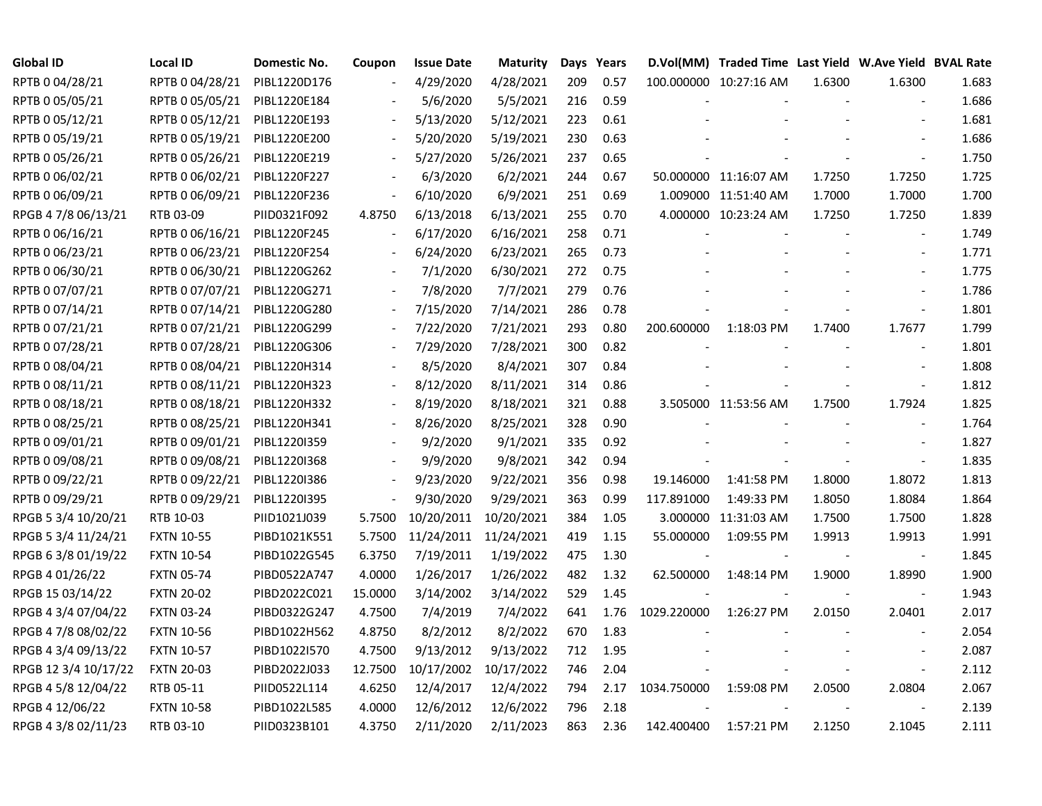| Global ID            | <b>Local ID</b>   | Domestic No. | Coupon                   | <b>Issue Date</b>     | Maturity              |     | Days Years |             | D.Vol(MM) Traded Time Last Yield W.Ave Yield BVAL Rate |        |                          |       |
|----------------------|-------------------|--------------|--------------------------|-----------------------|-----------------------|-----|------------|-------------|--------------------------------------------------------|--------|--------------------------|-------|
| RPTB 0 04/28/21      | RPTB 0 04/28/21   | PIBL1220D176 |                          | 4/29/2020             | 4/28/2021             | 209 | 0.57       |             | 100.000000 10:27:16 AM                                 | 1.6300 | 1.6300                   | 1.683 |
| RPTB 0 05/05/21      | RPTB 0 05/05/21   | PIBL1220E184 |                          | 5/6/2020              | 5/5/2021              | 216 | 0.59       |             |                                                        |        |                          | 1.686 |
| RPTB 0 05/12/21      | RPTB 0 05/12/21   | PIBL1220E193 |                          | 5/13/2020             | 5/12/2021             | 223 | 0.61       |             |                                                        |        |                          | 1.681 |
| RPTB 0 05/19/21      | RPTB 0 05/19/21   | PIBL1220E200 | $\overline{\phantom{a}}$ | 5/20/2020             | 5/19/2021             | 230 | 0.63       |             |                                                        |        |                          | 1.686 |
| RPTB 0 05/26/21      | RPTB 0 05/26/21   | PIBL1220E219 | $\blacksquare$           | 5/27/2020             | 5/26/2021             | 237 | 0.65       |             |                                                        |        |                          | 1.750 |
| RPTB 0 06/02/21      | RPTB 0 06/02/21   | PIBL1220F227 | $\overline{\phantom{a}}$ | 6/3/2020              | 6/2/2021              | 244 | 0.67       |             | 50.000000 11:16:07 AM                                  | 1.7250 | 1.7250                   | 1.725 |
| RPTB 0 06/09/21      | RPTB 0 06/09/21   | PIBL1220F236 | $\overline{\phantom{a}}$ | 6/10/2020             | 6/9/2021              | 251 | 0.69       |             | 1.009000 11:51:40 AM                                   | 1.7000 | 1.7000                   | 1.700 |
| RPGB 4 7/8 06/13/21  | RTB 03-09         | PIID0321F092 | 4.8750                   | 6/13/2018             | 6/13/2021             | 255 | 0.70       |             | 4.000000 10:23:24 AM                                   | 1.7250 | 1.7250                   | 1.839 |
| RPTB 0 06/16/21      | RPTB 0 06/16/21   | PIBL1220F245 |                          | 6/17/2020             | 6/16/2021             | 258 | 0.71       |             |                                                        |        | $\overline{\phantom{a}}$ | 1.749 |
| RPTB 0 06/23/21      | RPTB 0 06/23/21   | PIBL1220F254 |                          | 6/24/2020             | 6/23/2021             | 265 | 0.73       |             |                                                        |        | $\overline{\phantom{a}}$ | 1.771 |
| RPTB 0 06/30/21      | RPTB 0 06/30/21   | PIBL1220G262 |                          | 7/1/2020              | 6/30/2021             | 272 | 0.75       |             |                                                        |        | $\overline{\phantom{a}}$ | 1.775 |
| RPTB 0 07/07/21      | RPTB 0 07/07/21   | PIBL1220G271 |                          | 7/8/2020              | 7/7/2021              | 279 | 0.76       |             |                                                        |        | $\blacksquare$           | 1.786 |
| RPTB 0 07/14/21      | RPTB 0 07/14/21   | PIBL1220G280 |                          | 7/15/2020             | 7/14/2021             | 286 | 0.78       |             |                                                        |        | $\blacksquare$           | 1.801 |
| RPTB 0 07/21/21      | RPTB 0 07/21/21   | PIBL1220G299 |                          | 7/22/2020             | 7/21/2021             | 293 | 0.80       | 200.600000  | 1:18:03 PM                                             | 1.7400 | 1.7677                   | 1.799 |
| RPTB 0 07/28/21      | RPTB 0 07/28/21   | PIBL1220G306 |                          | 7/29/2020             | 7/28/2021             | 300 | 0.82       |             |                                                        |        |                          | 1.801 |
| RPTB 0 08/04/21      | RPTB 0 08/04/21   | PIBL1220H314 |                          | 8/5/2020              | 8/4/2021              | 307 | 0.84       |             |                                                        |        |                          | 1.808 |
| RPTB 0 08/11/21      | RPTB 0 08/11/21   | PIBL1220H323 |                          | 8/12/2020             | 8/11/2021             | 314 | 0.86       |             |                                                        |        |                          | 1.812 |
| RPTB 0 08/18/21      | RPTB 0 08/18/21   | PIBL1220H332 | $\blacksquare$           | 8/19/2020             | 8/18/2021             | 321 | 0.88       |             | 3.505000 11:53:56 AM                                   | 1.7500 | 1.7924                   | 1.825 |
| RPTB 0 08/25/21      | RPTB 0 08/25/21   | PIBL1220H341 | $\overline{\phantom{a}}$ | 8/26/2020             | 8/25/2021             | 328 | 0.90       |             |                                                        |        | $\blacksquare$           | 1.764 |
| RPTB 0 09/01/21      | RPTB 0 09/01/21   | PIBL12201359 |                          | 9/2/2020              | 9/1/2021              | 335 | 0.92       |             |                                                        |        |                          | 1.827 |
| RPTB 0 09/08/21      | RPTB 0 09/08/21   | PIBL1220I368 |                          | 9/9/2020              | 9/8/2021              | 342 | 0.94       |             |                                                        |        | $\overline{\phantom{a}}$ | 1.835 |
| RPTB 0 09/22/21      | RPTB 0 09/22/21   | PIBL12201386 |                          | 9/23/2020             | 9/22/2021             | 356 | 0.98       | 19.146000   | 1:41:58 PM                                             | 1.8000 | 1.8072                   | 1.813 |
| RPTB 0 09/29/21      | RPTB 0 09/29/21   | PIBL1220I395 | $\overline{\phantom{a}}$ | 9/30/2020             | 9/29/2021             | 363 | 0.99       | 117.891000  | 1:49:33 PM                                             | 1.8050 | 1.8084                   | 1.864 |
| RPGB 5 3/4 10/20/21  | RTB 10-03         | PIID1021J039 | 5.7500                   | 10/20/2011            | 10/20/2021            | 384 | 1.05       |             | 3.000000 11:31:03 AM                                   | 1.7500 | 1.7500                   | 1.828 |
| RPGB 5 3/4 11/24/21  | <b>FXTN 10-55</b> | PIBD1021K551 | 5.7500                   | 11/24/2011 11/24/2021 |                       | 419 | 1.15       | 55.000000   | 1:09:55 PM                                             | 1.9913 | 1.9913                   | 1.991 |
| RPGB 63/8 01/19/22   | <b>FXTN 10-54</b> | PIBD1022G545 | 6.3750                   | 7/19/2011             | 1/19/2022             | 475 | 1.30       |             |                                                        |        |                          | 1.845 |
| RPGB 4 01/26/22      | <b>FXTN 05-74</b> | PIBD0522A747 | 4.0000                   | 1/26/2017             | 1/26/2022             | 482 | 1.32       | 62.500000   | 1:48:14 PM                                             | 1.9000 | 1.8990                   | 1.900 |
| RPGB 15 03/14/22     | <b>FXTN 20-02</b> | PIBD2022C021 | 15.0000                  | 3/14/2002             | 3/14/2022             | 529 | 1.45       |             |                                                        |        |                          | 1.943 |
| RPGB 4 3/4 07/04/22  | <b>FXTN 03-24</b> | PIBD0322G247 | 4.7500                   | 7/4/2019              | 7/4/2022              | 641 | 1.76       | 1029.220000 | 1:26:27 PM                                             | 2.0150 | 2.0401                   | 2.017 |
| RPGB 4 7/8 08/02/22  | <b>FXTN 10-56</b> | PIBD1022H562 | 4.8750                   | 8/2/2012              | 8/2/2022              | 670 | 1.83       |             |                                                        |        |                          | 2.054 |
| RPGB 4 3/4 09/13/22  | <b>FXTN 10-57</b> | PIBD1022I570 | 4.7500                   | 9/13/2012             | 9/13/2022             | 712 | 1.95       |             |                                                        |        |                          | 2.087 |
| RPGB 12 3/4 10/17/22 | <b>FXTN 20-03</b> | PIBD2022J033 | 12.7500                  |                       | 10/17/2002 10/17/2022 | 746 | 2.04       |             |                                                        |        | $\overline{\phantom{a}}$ | 2.112 |
| RPGB 4 5/8 12/04/22  | RTB 05-11         | PIID0522L114 | 4.6250                   | 12/4/2017             | 12/4/2022             | 794 | 2.17       | 1034.750000 | 1:59:08 PM                                             | 2.0500 | 2.0804                   | 2.067 |
| RPGB 4 12/06/22      | <b>FXTN 10-58</b> | PIBD1022L585 | 4.0000                   | 12/6/2012             | 12/6/2022             | 796 | 2.18       |             |                                                        |        |                          | 2.139 |
| RPGB 4 3/8 02/11/23  | RTB 03-10         | PIID0323B101 | 4.3750                   | 2/11/2020             | 2/11/2023             | 863 | 2.36       | 142.400400  | 1:57:21 PM                                             | 2.1250 | 2.1045                   | 2.111 |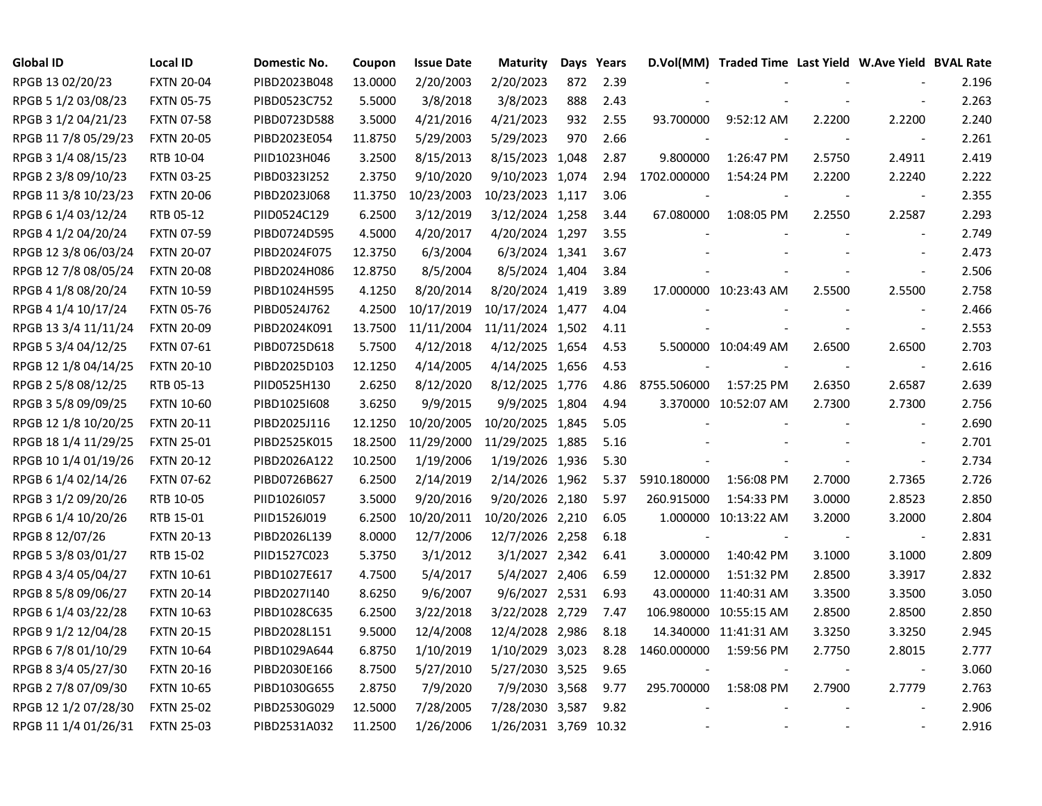| <b>Global ID</b>     | <b>Local ID</b>   | Domestic No. | Coupon  | <b>Issue Date</b> | <b>Maturity</b>  |     | Days Years |             | D.Vol(MM) Traded Time Last Yield W.Ave Yield BVAL Rate |                |                          |       |
|----------------------|-------------------|--------------|---------|-------------------|------------------|-----|------------|-------------|--------------------------------------------------------|----------------|--------------------------|-------|
| RPGB 13 02/20/23     | <b>FXTN 20-04</b> | PIBD2023B048 | 13.0000 | 2/20/2003         | 2/20/2023        | 872 | 2.39       |             |                                                        |                |                          | 2.196 |
| RPGB 5 1/2 03/08/23  | <b>FXTN 05-75</b> | PIBD0523C752 | 5.5000  | 3/8/2018          | 3/8/2023         | 888 | 2.43       |             |                                                        |                |                          | 2.263 |
| RPGB 3 1/2 04/21/23  | <b>FXTN 07-58</b> | PIBD0723D588 | 3.5000  | 4/21/2016         | 4/21/2023        | 932 | 2.55       | 93.700000   | 9:52:12 AM                                             | 2.2200         | 2.2200                   | 2.240 |
| RPGB 11 7/8 05/29/23 | <b>FXTN 20-05</b> | PIBD2023E054 | 11.8750 | 5/29/2003         | 5/29/2023        | 970 | 2.66       |             |                                                        |                | $\overline{\phantom{a}}$ | 2.261 |
| RPGB 3 1/4 08/15/23  | RTB 10-04         | PIID1023H046 | 3.2500  | 8/15/2013         | 8/15/2023 1,048  |     | 2.87       | 9.800000    | 1:26:47 PM                                             | 2.5750         | 2.4911                   | 2.419 |
| RPGB 2 3/8 09/10/23  | <b>FXTN 03-25</b> | PIBD0323I252 | 2.3750  | 9/10/2020         | 9/10/2023 1,074  |     | 2.94       | 1702.000000 | 1:54:24 PM                                             | 2.2200         | 2.2240                   | 2.222 |
| RPGB 11 3/8 10/23/23 | <b>FXTN 20-06</b> | PIBD2023J068 | 11.3750 | 10/23/2003        | 10/23/2023 1,117 |     | 3.06       |             |                                                        |                | $\blacksquare$           | 2.355 |
| RPGB 6 1/4 03/12/24  | RTB 05-12         | PIID0524C129 | 6.2500  | 3/12/2019         | 3/12/2024 1,258  |     | 3.44       | 67.080000   | 1:08:05 PM                                             | 2.2550         | 2.2587                   | 2.293 |
| RPGB 4 1/2 04/20/24  | <b>FXTN 07-59</b> | PIBD0724D595 | 4.5000  | 4/20/2017         | 4/20/2024 1,297  |     | 3.55       |             |                                                        |                | $\sim$                   | 2.749 |
| RPGB 12 3/8 06/03/24 | <b>FXTN 20-07</b> | PIBD2024F075 | 12.3750 | 6/3/2004          | 6/3/2024 1,341   |     | 3.67       |             |                                                        |                | $\sim$                   | 2.473 |
| RPGB 12 7/8 08/05/24 | <b>FXTN 20-08</b> | PIBD2024H086 | 12.8750 | 8/5/2004          | 8/5/2024 1,404   |     | 3.84       |             |                                                        |                | $\overline{\phantom{a}}$ | 2.506 |
| RPGB 4 1/8 08/20/24  | <b>FXTN 10-59</b> | PIBD1024H595 | 4.1250  | 8/20/2014         | 8/20/2024 1,419  |     | 3.89       |             | 17.000000 10:23:43 AM                                  | 2.5500         | 2.5500                   | 2.758 |
| RPGB 4 1/4 10/17/24  | <b>FXTN 05-76</b> | PIBD0524J762 | 4.2500  | 10/17/2019        | 10/17/2024 1,477 |     | 4.04       |             |                                                        |                | $\sim$                   | 2.466 |
| RPGB 13 3/4 11/11/24 | <b>FXTN 20-09</b> | PIBD2024K091 | 13.7500 | 11/11/2004        | 11/11/2024 1,502 |     | 4.11       |             |                                                        |                | $\overline{\phantom{a}}$ | 2.553 |
| RPGB 5 3/4 04/12/25  | <b>FXTN 07-61</b> | PIBD0725D618 | 5.7500  | 4/12/2018         | 4/12/2025 1,654  |     | 4.53       |             | 5.500000 10:04:49 AM                                   | 2.6500         | 2.6500                   | 2.703 |
| RPGB 12 1/8 04/14/25 | <b>FXTN 20-10</b> | PIBD2025D103 | 12.1250 | 4/14/2005         | 4/14/2025 1,656  |     | 4.53       |             |                                                        |                | $\sim$                   | 2.616 |
| RPGB 2 5/8 08/12/25  | RTB 05-13         | PIID0525H130 | 2.6250  | 8/12/2020         | 8/12/2025 1,776  |     | 4.86       | 8755.506000 | 1:57:25 PM                                             | 2.6350         | 2.6587                   | 2.639 |
| RPGB 3 5/8 09/09/25  | <b>FXTN 10-60</b> | PIBD10251608 | 3.6250  | 9/9/2015          | 9/9/2025 1,804   |     | 4.94       |             | 3.370000 10:52:07 AM                                   | 2.7300         | 2.7300                   | 2.756 |
| RPGB 12 1/8 10/20/25 | <b>FXTN 20-11</b> | PIBD2025J116 | 12.1250 | 10/20/2005        | 10/20/2025 1,845 |     | 5.05       |             |                                                        |                | $\blacksquare$           | 2.690 |
| RPGB 18 1/4 11/29/25 | <b>FXTN 25-01</b> | PIBD2525K015 | 18.2500 | 11/29/2000        | 11/29/2025 1,885 |     | 5.16       |             |                                                        |                | $\overline{\phantom{a}}$ | 2.701 |
| RPGB 10 1/4 01/19/26 | <b>FXTN 20-12</b> | PIBD2026A122 | 10.2500 | 1/19/2006         | 1/19/2026 1,936  |     | 5.30       |             |                                                        |                | $\overline{\phantom{a}}$ | 2.734 |
| RPGB 6 1/4 02/14/26  | <b>FXTN 07-62</b> | PIBD0726B627 | 6.2500  | 2/14/2019         | 2/14/2026 1,962  |     | 5.37       | 5910.180000 | 1:56:08 PM                                             | 2.7000         | 2.7365                   | 2.726 |
| RPGB 3 1/2 09/20/26  | RTB 10-05         | PIID1026I057 | 3.5000  | 9/20/2016         | 9/20/2026 2,180  |     | 5.97       | 260.915000  | 1:54:33 PM                                             | 3.0000         | 2.8523                   | 2.850 |
| RPGB 6 1/4 10/20/26  | RTB 15-01         | PIID1526J019 | 6.2500  | 10/20/2011        | 10/20/2026 2,210 |     | 6.05       |             | 1.000000 10:13:22 AM                                   | 3.2000         | 3.2000                   | 2.804 |
| RPGB 8 12/07/26      | <b>FXTN 20-13</b> | PIBD2026L139 | 8.0000  | 12/7/2006         | 12/7/2026 2,258  |     | 6.18       |             |                                                        |                | $\blacksquare$           | 2.831 |
| RPGB 5 3/8 03/01/27  | RTB 15-02         | PIID1527C023 | 5.3750  | 3/1/2012          | 3/1/2027 2,342   |     | 6.41       | 3.000000    | 1:40:42 PM                                             | 3.1000         | 3.1000                   | 2.809 |
| RPGB 4 3/4 05/04/27  | <b>FXTN 10-61</b> | PIBD1027E617 | 4.7500  | 5/4/2017          | 5/4/2027 2,406   |     | 6.59       | 12.000000   | 1:51:32 PM                                             | 2.8500         | 3.3917                   | 2.832 |
| RPGB 8 5/8 09/06/27  | <b>FXTN 20-14</b> | PIBD2027I140 | 8.6250  | 9/6/2007          | 9/6/2027 2,531   |     | 6.93       |             | 43.000000 11:40:31 AM                                  | 3.3500         | 3.3500                   | 3.050 |
| RPGB 6 1/4 03/22/28  | <b>FXTN 10-63</b> | PIBD1028C635 | 6.2500  | 3/22/2018         | 3/22/2028 2,729  |     | 7.47       |             | 106.980000 10:55:15 AM                                 | 2.8500         | 2.8500                   | 2.850 |
| RPGB 9 1/2 12/04/28  | <b>FXTN 20-15</b> | PIBD2028L151 | 9.5000  | 12/4/2008         | 12/4/2028 2,986  |     | 8.18       |             | 14.340000 11:41:31 AM                                  | 3.3250         | 3.3250                   | 2.945 |
| RPGB 6 7/8 01/10/29  | <b>FXTN 10-64</b> | PIBD1029A644 | 6.8750  | 1/10/2019         | 1/10/2029 3,023  |     | 8.28       | 1460.000000 | 1:59:56 PM                                             | 2.7750         | 2.8015                   | 2.777 |
| RPGB 8 3/4 05/27/30  | <b>FXTN 20-16</b> | PIBD2030E166 | 8.7500  | 5/27/2010         | 5/27/2030 3,525  |     | 9.65       |             |                                                        | $\blacksquare$ | $\sim$                   | 3.060 |
| RPGB 2 7/8 07/09/30  | <b>FXTN 10-65</b> | PIBD1030G655 | 2.8750  | 7/9/2020          | 7/9/2030 3,568   |     | 9.77       | 295.700000  | 1:58:08 PM                                             | 2.7900         | 2.7779                   | 2.763 |
| RPGB 12 1/2 07/28/30 | <b>FXTN 25-02</b> | PIBD2530G029 | 12.5000 | 7/28/2005         | 7/28/2030 3,587  |     | 9.82       |             |                                                        |                |                          | 2.906 |
| RPGB 11 1/4 01/26/31 | <b>FXTN 25-03</b> | PIBD2531A032 | 11.2500 | 1/26/2006         | 1/26/2031 3,769  |     | 10.32      |             |                                                        |                |                          | 2.916 |